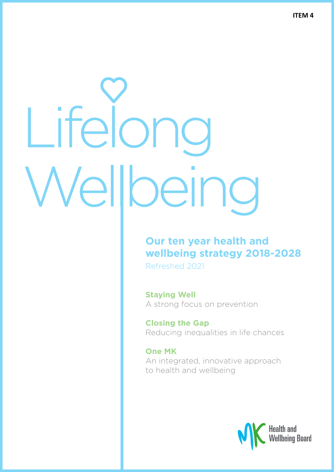## Lifelong Wellbeing

### **Our ten year health and wellbeing strategy 2018-2028**

Refreshed 2021

**Staying Well** A strong focus on prevention

**Closing the Gap** Reducing inequalities in life chances

**One MK** An integrated, innovative approach to health and wellbeing

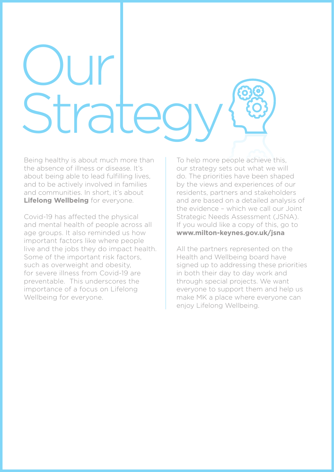### Our Stratec

Being healthy is about much more than the absence of illness or disease. It's about being able to lead fulfilling lives. and to be actively involved in families and communities. In short, it's about **Lifelong Wellbeing** for everyone.

Covid-19 has affected the physical and mental health of people across all age groups. It also reminded us how important factors like where people live and the jobs they do impact health. Some of the important risk factors, such as overweight and obesity, for severe illness from Covid-19 are preventable. This underscores the importance of a focus on Lifelong Wellbeing for everyone.

To help more people achieve this, our strategy sets out what we will do. The priorities have been shaped by the views and experiences of our residents, partners and stakeholders and are based on a detailed analysis of the evidence – which we call our Joint Strategic Needs Assessment (JSNA). If you would like a copy of this, go to **www.milton-keynes.gov.uk/jsna**

All the partners represented on the Health and Wellbeing board have signed up to addressing these priorities in both their day to day work and through special projects. We want everyone to support them and help us make MK a place where everyone can enjoy Lifelong Wellbeing.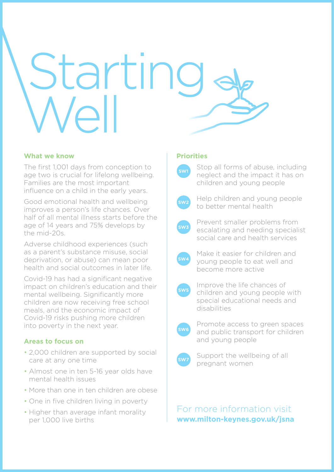## Starting<br>Well

### **What we know**

The first 1,001 days from conception to age two is crucial for lifelong wellbeing. Families are the most important influence on a child in the early years.

Good emotional health and wellbeing improves a person's life chances. Over half of all mental illness starts before the age of 14 years and 75% develops by the mid-20s.

Adverse childhood experiences (such as a parent's substance misuse, social deprivation, or abuse) can mean poor health and social outcomes in later life.

Covid-19 has had a significant negative impact on children's education and their mental wellbeing. Significantly more children are now receiving free school meals, and the economic impact of Covid-19 risks pushing more children into poverty in the next year.

### **Areas to focus on**

- 2,000 children are supported by social care at any one time
- Almost one in ten 5-16 year olds have mental health issues
- More than one in ten children are obese
- One in five children living in poverty
- Higher than average infant morality per 1,000 live births

### **Priorities**



 Stop all forms of abuse, including neglect and the impact it has on children and young people



Help children and young people to better mental health



Prevent smaller problems from escalating and needing specialist social care and health services



Make it easier for children and young people to eat well and become more active



Improve the life chances of children and young people with special educational needs and disabilities



Promote access to green spaces and public transport for children and young people



Support the wellbeing of all pregnant women

For more information visit **www.milton-keynes.gov.uk/jsna**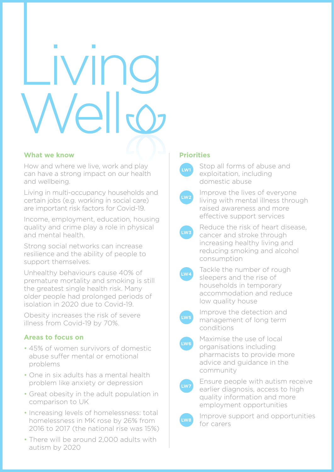### **IVING** Vello

### **What we know**

How and where we live, work and play can have a strong impact on our health and wellbeing.

Living in multi-occupancy households and certain jobs (e.g. working in social care) are important risk factors for Covid-19.

Income, employment, education, housing quality and crime play a role in physical and mental health.

Strong social networks can increase resilience and the ability of people to support themselves.

Unhealthy behaviours cause 40% of premature mortality and smoking is still the greatest single health risk. Many older people had prolonged periods of isolation in 2020 due to Covid-19.

Obesity increases the risk of severe illness from Covid-19 by 70%.

### **Areas to focus on**

- 45% of women survivors of domestic abuse suffer mental or emotional problems
- One in six adults has a mental health problem like anxiety or depression
- Great obesity in the adult population in comparison to UK
- Increasing levels of homelessness: total homelessness in MK rose by 26% from 2016 to 2017 (the national rise was 15%)
- There will be around 2,000 adults with autism by 2020

### **Priorities**



Stop all forms of abuse and exploitation, including domestic abuse



Improve the lives of everyone living with mental illness through raised awareness and more effective support services



Reduce the risk of heart disease, cancer and stroke through increasing healthy living and reducing smoking and alcohol consumption



Tackle the number of rough sleepers and the rise of households in temporary accommodation and reduce low quality house



Improve the detection and management of long term conditions



Maximise the use of local organisations including pharmacists to provide more advice and guidance in the community



Ensure people with autism receive earlier diagnosis, access to high quality information and more employment opportunities



Improve support and opportunities for carers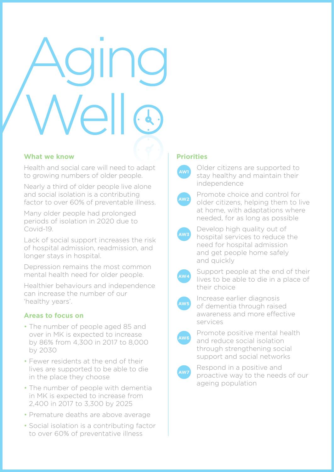### **What we know**

Health and social care will need to adapt to growing numbers of older people.

Nearly a third of older people live alone and social isolation is a contributing factor to over 60% of preventable illness.

Many older people had prolonged periods of isolation in 2020 due to Covid-19.

Lack of social support increases the risk of hospital admission, readmission, and longer stays in hospital.

Depression remains the most common mental health need for older people.

Healthier behaviours and independence can increase the number of our 'healthy years'.

### **Areas to focus on**

- The number of people aged 85 and over in MK is expected to increase by 86% from 4,300 in 2017 to 8,000 by 2030
- Fewer residents at the end of their lives are supported to be able to die in the place they choose
- The number of people with dementia in MK is expected to increase from 2,400 in 2017 to 3,300 by 2025
- Premature deaths are above average
- Social isolation is a contributing factor to over 60% of preventative illness

### **Priorities**



Older citizens are supported to stay healthy and maintain their independence



Promote choice and control for older citizens, helping them to live at home, with adaptations where needed, for as long as possible



Develop high quality out of hospital services to reduce the need for hospital admission and get people home safely and quickly



Support people at the end of their lives to be able to die in a place of their choice



Increase earlier diagnosis of dementia through raised awareness and more effective services



Promote positive mental health and reduce social isolation through strengthening social support and social networks



Respond in a positive and proactive way to the needs of our ageing population